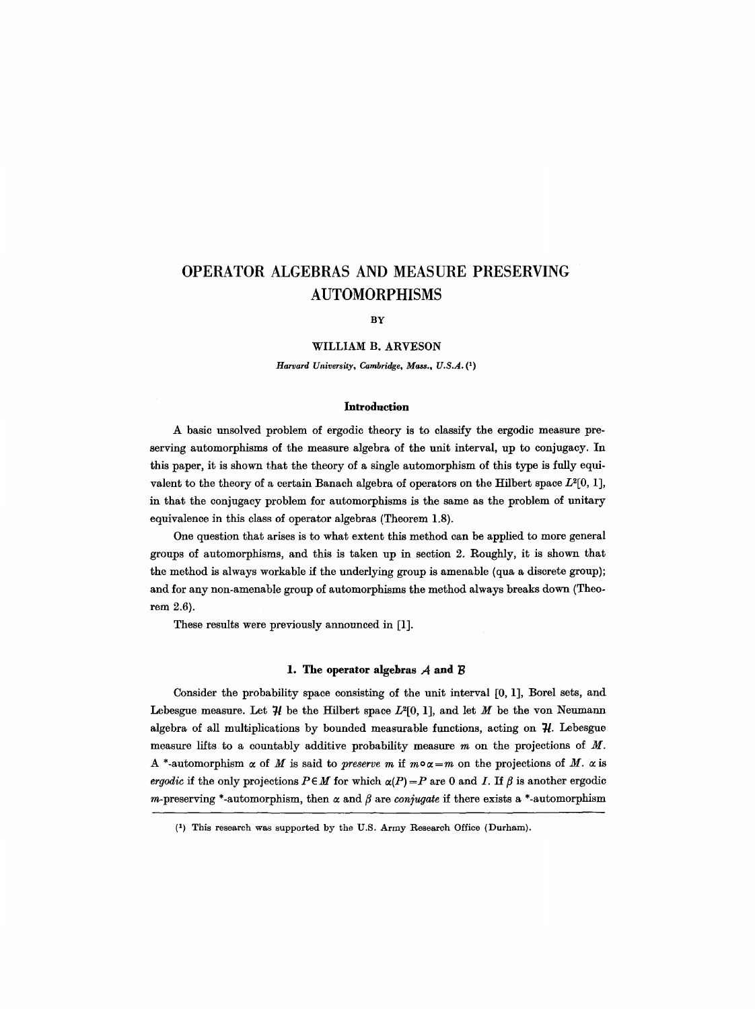BY

### WILLIAM B. ARVESON

*Harvard University, Cambridge, Mass., U.S.A. (1)* 

#### **Introduction**

A basic unsolved problem of ergodic theory is to classify the ergodic measure preserving automorphisms of the measure algebra of the unit interval, up to conjugaey. In this paper, it is shown that the theory of a single automorphism of this type is fully equivalent to the theory of a certain Banach algebra of operators on the Hilbert space  $L^2[0, 1]$ , in that the eonjugacy problem for automorphisms is the same as the problem of unitary equivalence in this class of operator algebras (Theorem 1.8).

One question that arises is to what extent this method can be applied to more general groups of automorphisms, and this is taken up in section 2. Roughly, it is shown that the method is always workable if the underlying group is amenable (qua a discrete group); and for any non-amenable group of automorphisms the method always breaks down (Theorem 2.6).

These results were previously announced in [1].

#### **1. The operator algebras**  $A$  **and**  $B$

Consider the probability space consisting of the unit interval [0, 1], Borel sets, and Lebesgue measure. Let  $\mathcal H$  be the Hilbert space  $L^2[0, 1]$ , and let M be the von Neumann algebra of all multiplications by bounded measurable functions, acting on  $\mathcal{H}$ . Lebesgue measure lifts to a countably additive probability measure  $m$  on the projections of  $M$ . A \*-automorphism  $\alpha$  of M is said to *preserve m* if  $m \circ \alpha = m$  on the projections of M.  $\alpha$  is *ergodic* if the only projections  $P \in M$  for which  $\alpha(P) = P$  are 0 and I. If  $\beta$  is another ergodic m-preserving \*-automorphism, then  $\alpha$  and  $\beta$  are conjugate if there exists a \*-automorphism

<sup>(1)</sup> This research was supported by the U.S. Army Research Office (Durham).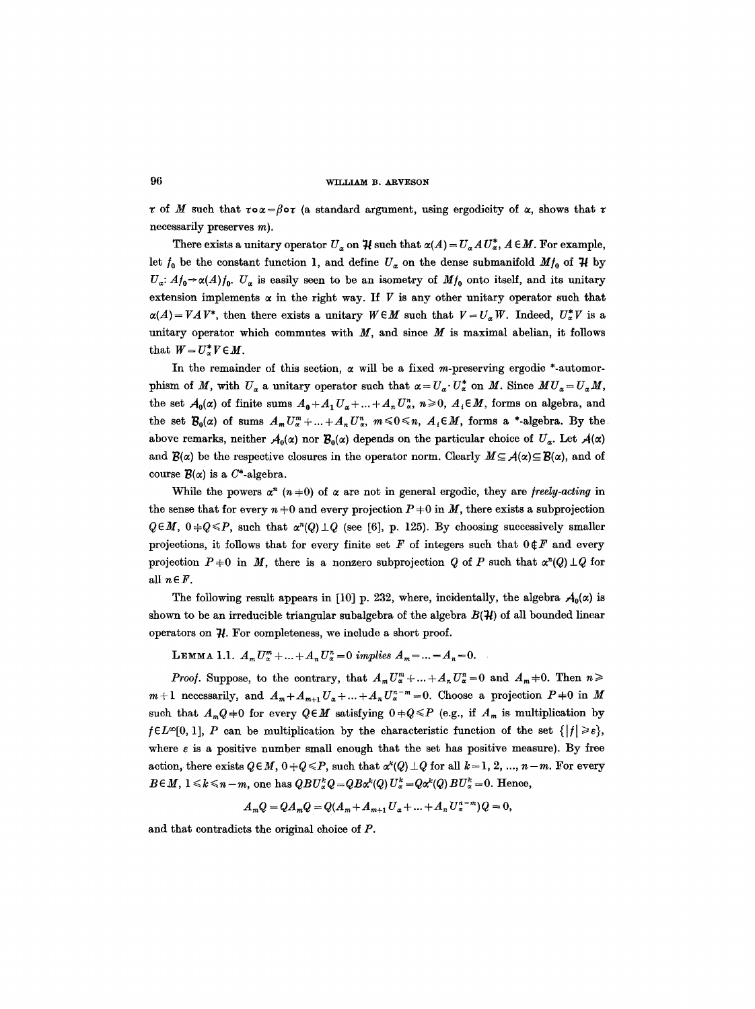$\tau$  of M such that  $\tau \circ \alpha = \beta \circ \tau$  (a standard argument, using ergodicity of  $\alpha$ , shows that  $\tau$ necessarily preserves m).

There exists a unitary operator  $U_a$  on  $\mathcal{H}$  such that  $\alpha(A) = U_a A U_a^*$ ,  $A \in M$ . For example, let  $f_0$  be the constant function 1, and define  $U_{\alpha}$  on the dense submanifold  $Mf_0$  of  $\mathcal H$  by  $U_a: A_{0} \rightarrow \alpha(A) f_0$ .  $U_a$  is easily seen to be an isometry of  $M_{0}$  onto itself, and its unitary extension implements  $\alpha$  in the right way. If V is any other unitary operator such that  $\alpha(A) = VAV^*$ , then there exists a unitary  $W \in M$  such that  $V = U_\alpha W$ . Indeed,  $U_\alpha^* V$  is a unitary operator which commutes with  $M$ , and since  $M$  is maximal abelian, it follows that  $W = U^*_{\alpha}V \in M$ .

In the remainder of this section,  $\alpha$  will be a fixed m-preserving ergodic \*-automorphism of M, with  $U_a$  a unitary operator such that  $\alpha = U_a$ .  $U^*_{\alpha}$  on M. Since  $MU_a = U_a M$ , the set  $A_0(\alpha)$  of finite sums  $A_0+A_1U_{\alpha}+\ldots+A_nU_{\alpha}^n$ ,  $n\geqslant 0$ ,  $A_i\in M$ , forms on algebra, and the set  $\mathcal{B}_0(\alpha)$  of sums  $A_m U_{\alpha}^m + ... + A_n U_{\alpha}^n$ ,  $m \leq 0 \leq n$ ,  $A_i \in M$ , forms a \*-algebra. By the above remarks, neither  $A_0(x)$  nor  $B_0(x)$  depends on the particular choice of  $U_\alpha$ . Let  $A(\alpha)$ and  $\mathcal{B}(\alpha)$  be the respective closures in the operator norm. Clearly  $M \subseteq \mathcal{A}(\alpha) \subseteq \mathcal{B}(\alpha)$ , and of course  $\mathcal{B}(\alpha)$  is a C<sup>\*</sup>-algebra.

While the powers  $\alpha^{n}$  ( $n+0$ ) of  $\alpha$  are not in general ergodic, they are *freely-acting* in the sense that for every  $n \neq 0$  and every projection  $P \neq 0$  in M, there exists a subprojection  $Q \in M$ ,  $0 \neq Q \leq P$ , such that  $\alpha^{n}(Q) \perp Q$  (see [6], p. 125). By choosing successively smaller projections, it follows that for every finite set F of integers such that  $0~\text{E}$ F and every projection  $P+0$  in M, there is a nonzero subprojection Q of P such that  $\alpha^{n}(Q) \perp Q$  for *all nEF.* 

The following result appears in [10] p. 232, where, incidentally, the algebra  $A_0(\alpha)$  is shown to be an irreducible triangular subalgebra of the algebra  $B(\mathcal{H})$  of all bounded linear operators on  $H$ . For completeness, we include a short proof.

LEMMA 1.1.  $A_m U_{\alpha}^m + ... + A_n U_{\alpha}^n = 0$  *implies*  $A_m = ... = A_n = 0$ .

*Proof.* Suppose, to the contrary, that  $A_m U_{\alpha}^m + ... + A_n U_{\alpha}^n = 0$  and  $A_m + 0$ . Then  $n \geq 0$  $m+1$  necessarily, and  $A_m+A_{m+1}U_{\alpha}+...+A_nU_{\alpha}^{n-m}=0$ . Choose a projection  $P+0$  in M such that  $A_mQ+0$  for every  $Q \in M$  satisfying  $0+Q \leq P$  (e.g., if  $A_m$  is multiplication by  $f \in L^{\infty}[0, 1], P$  can be multiplication by the characteristic function of the set  $\{|f| \geqslant \varepsilon\},$ where  $\varepsilon$  is a positive number small enough that the set has positive measure). By free action, there exists  $Q \in M$ ,  $0 + Q \leq P$ , such that  $\alpha^{k}(Q) \perp Q$  for all  $k = 1, 2, ..., n-m$ . For every  $B \in M$ ,  $1 \le k \le n-m$ , one has  $QBU^k_{\alpha}Q = QB\alpha^k(Q)U^k_{\alpha} = Q\alpha^k(Q)BU^k_{\alpha} = 0$ . Hence,

$$
A_mQ = QA_mQ = Q(A_m + A_{m+1}U_{\alpha} + ... + A_nU_{\alpha}^{n-m})Q = 0,
$$

and that contradicts the original choice of P.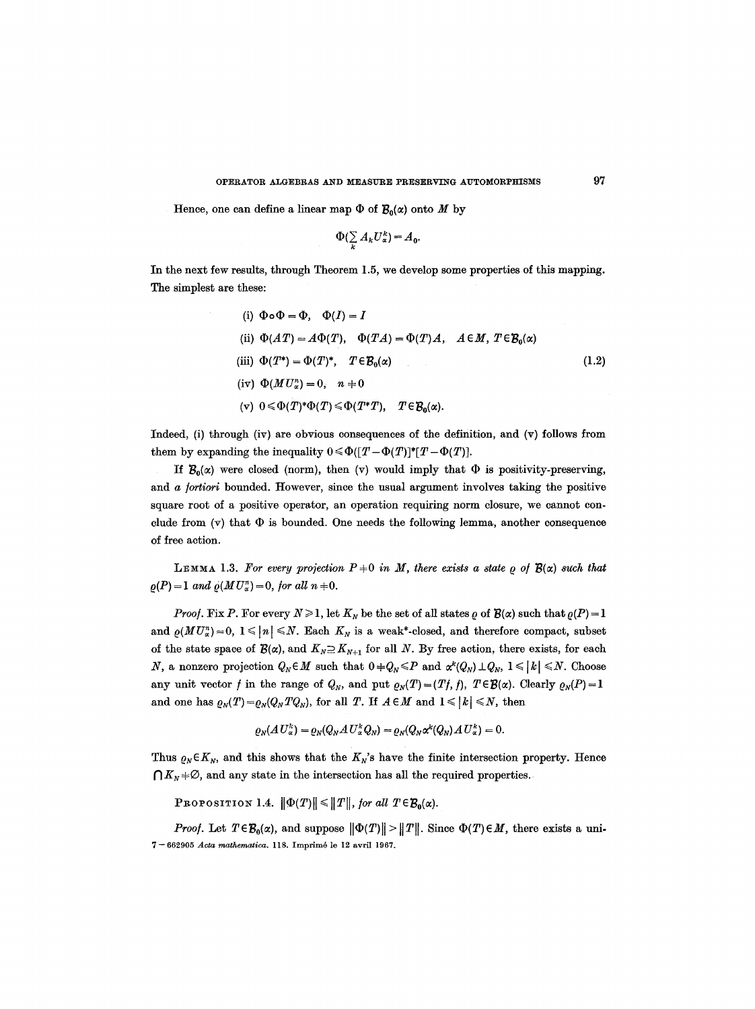Hence, one can define a linear map  $\Phi$  of  $\mathcal{B}_0(\alpha)$  onto M by

$$
\Phi(\sum_{k}A_{k}U_{\alpha}^{k})=A_{0}.
$$

In the next few results, through Theorem 1.5, we develop some properties of this mapping. The simplest are these:

(i) 
$$
\Phi \circ \Phi = \Phi
$$
,  $\Phi(I) = I$   
\n(ii)  $\Phi(AT) = A\Phi(T)$ ,  $\Phi(TA) = \Phi(T)A$ ,  $A \in M$ ,  $T \in \mathcal{B}_0(\alpha)$   
\n(iii)  $\Phi(T^*) = \Phi(T)^*$ ,  $T \in \mathcal{B}_0(\alpha)$   
\n(iv)  $\Phi(MU^*_\alpha) = 0$ ,  $n \neq 0$   
\n(v)  $0 \leq \Phi(T)^* \Phi(T) \leq \Phi(T^*T)$ ,  $T \in \mathcal{B}_0(\alpha)$ .

Indeed, (i) through (iv) are obvious consequences of the definition, and (v) follows from them by expanding the inequality  $0 \le \Phi([T-\Phi(T)]^*[T-\Phi(T)]$ .

If  $B_0(x)$  were closed (norm), then (v) would imply that  $\Phi$  is positivity-preserving, and *a fortiori* bounded. However, since the usual argument involves taking the positive square root of a positive operator, an operation requiring norm closure, we cannot conclude from  $(v)$  that  $\Phi$  is bounded. One needs the following lemma, another consequence of free action.

LEMMA 1.3. For every projection  $P+0$  in M, there exists a state  $\rho$  of  $\mathcal{B}(\alpha)$  such that  $\rho(P) = 1$  *and*  $\rho(MU^n_{\alpha}) = 0$ *, for all n*  $\neq 0$ *.* 

*Proof.* Fix P. For every  $N \ge 1$ , let  $K_N$  be the set of all states  $\rho$  of  $\mathcal{B}(\alpha)$  such that  $\rho(P) = 1$ and  $\rho(MU_{\alpha}^{n})=0, 1 \leq n \leq N$ . Each  $K_{N}$  is a weak\*-closed, and therefore compact, subset of the state space of  $\mathcal{B}(\alpha)$ , and  $K_N \supseteq K_{N+1}$  for all N. By free action, there exists, for each N, a nonzero projection  $Q_N \in M$  such that  $0 + Q_N \leq P$  and  $\alpha^k(Q_N) \perp Q_N$ ,  $1 \leq k \leq N$ . Choose any unit vector f in the range of  $Q_N$ , and put  $\rho_N(T) = (Tf, f)$ ,  $T \in \mathcal{B}(\alpha)$ . Clearly  $\rho_N(P) = 1$ and one has  $\rho_N(T) = \rho_N(Q_N T Q_N)$ , for all T. If  $A \in M$  and  $1 \leq k \leq N$ , then

$$
\varrho_N(A U_\alpha^k) = \varrho_N(Q_N A U_\alpha^k Q_N) = \varrho_N(Q_N \alpha^k(Q_N) A U_\alpha^k) = 0.
$$

Thus  $\varrho_N \in K_N$ , and this shows that the  $K_N$ 's have the finite intersection property. Hence  $\bigcap K_N +\emptyset$ , and any state in the intersection has all the required properties.

PROPOSITION 1.4.  $\|\Phi(T)\| \leq \|T\|$ , for all  $T \in \mathcal{B}_0(\alpha)$ .

*Proof.* Let  $T \in \mathcal{B}_0(\alpha)$ , and suppose  $\|\Phi(T)\| > \|T\|$ . Since  $\Phi(T) \in M$ , there exists a uni-**7-** 662905 *Aota mathematica.* 118. Imprlm6 le 12 avril 1967.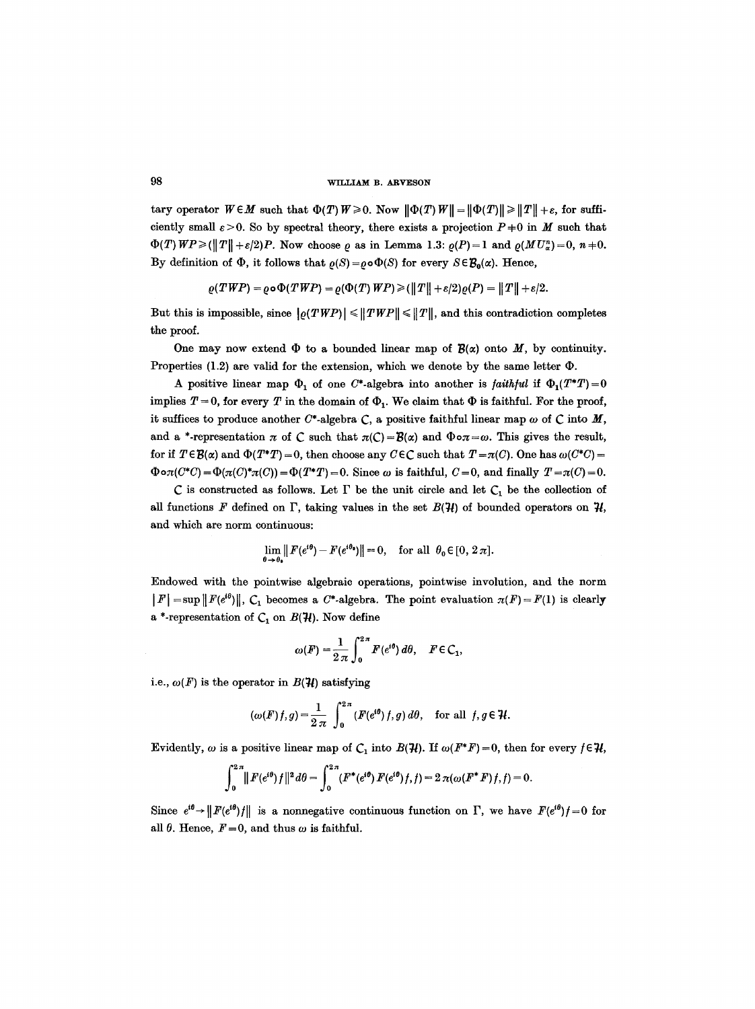tary operator  $W \in M$  such that  $\Phi(T)W \ge 0$ . Now  $\|\Phi(T)W\| = \|\Phi(T)\| \ge \|T\| + \varepsilon$ , for sufficiently small  $\varepsilon > 0$ . So by spectral theory, there exists a projection  $P+0$  in M such that  $\Phi(T) \text{ } WP \geq (\|T\| + \varepsilon/2)P$ . Now choose  $\rho$  as in Lemma 1.3:  $\rho(P) = 1$  and  $\rho(MU_{\alpha}^{n}) = 0$ ,  $n \neq 0$ . By definition of  $\Phi$ , it follows that  $\rho(S)=\rho\circ\Phi(S)$  for every  $S\in\mathcal{B}_0(\alpha)$ . Hence,

$$
\varrho(TWP) = \varrho \circ \Phi(TWP) = \varrho(\Phi(T)WP) \geq (\|T\| + \varepsilon/2)\varrho(P) = \|T\| + \varepsilon/2.
$$

But this is impossible, since  $|g(TWP)| \leq ||TWP|| \leq ||T||$ , and this contradiction completes the proof.

One may now extend  $\Phi$  to a bounded linear map of  $\mathcal{B}(\alpha)$  onto M, by continuity. Properties (1.2) are valid for the extension, which we denote by the same letter  $\Phi$ .

A positive linear map  $\Phi_1$  of one C\*-algebra into another is *faithful* if  $\Phi_1(T^*T)=0$ implies  $T = 0$ , for every T in the domain of  $\Phi_1$ . We claim that  $\Phi$  is faithful. For the proof, it suffices to produce another  $C^*$ -algebra C, a positive faithful linear map  $\omega$  of C into M, and a \*-representation  $\pi$  of C such that  $\pi(C) = \mathcal{B}(\alpha)$  and  $\Phi \circ \pi = \omega$ . This gives the result, for if  $T \in \mathcal{B}(\alpha)$  and  $\Phi(T^*T) = 0$ , then choose any  $C \in \mathcal{C}$  such that  $T = \pi(C)$ . One has  $\omega(C^*C) = 0$  $\Phi \circ \pi(C^*C) = \Phi(\pi(C)^*\pi(C)) = \Phi(T^*T) = 0$ . Since  $\omega$  is faithful,  $C=0$ , and finally  $T=\pi(C)=0$ .

C is constructed as follows. Let  $\Gamma$  be the unit circle and let  $C_1$  be the collection of all functions F defined on  $\Gamma$ , taking values in the set  $B(\mathcal{H})$  of bounded operators on  $\mathcal{H}$ , and which are norm continuous:

$$
\lim_{\theta \to \theta_{\bullet}} || F(e^{i\theta}) - F(e^{i\theta_{\bullet}}) || = 0, \text{ for all } \theta_{0} \in [0, 2\pi].
$$

Endowed with the pointwise algebraic operations, pointwise involution, and the norm  $|F| = \sup ||F(e^{i\theta})||$ ,  $C_1$  becomes a C\*-algebra. The point evaluation  $\pi(F) = F(1)$  is clearly a \*-representation of  $C_1$  on  $B({\mathcal{H}})$ . Now define

$$
\omega(F) = \frac{1}{2\pi} \int_0^{2\pi} F(e^{i\theta}) d\theta, \quad F \in C_1,
$$

i.e.,  $\omega(F)$  is the operator in  $B(\mathcal{H})$  satisfying

$$
(\omega(F) f, g) = \frac{1}{2 \pi} \int_0^{2 \pi} (F(e^{i\theta}) f, g) d\theta, \text{ for all } f, g \in \mathcal{H}.
$$

Evidently,  $\omega$  is a positive linear map of  $C_1$  into  $B(\mathcal{H})$ . If  $\omega(F^*F)=0$ , then for every  $f \in \mathcal{H}$ ,

$$
\int_0^{2\pi} || F(e^{i\theta}) f ||^2 d\theta = \int_0^{2\pi} (F^*(e^{i\theta}) F(e^{i\theta}) f, f) = 2 \pi (\omega (F^* F) f, f) = 0.
$$

Since  $e^{i\theta} \rightarrow ||F(e^{i\theta})f||$  is a nonnegative continuous function on  $\Gamma$ , we have  $F(e^{i\theta})f=0$  for all  $\theta$ . Hence,  $F=0$ , and thus  $\omega$  is faithful.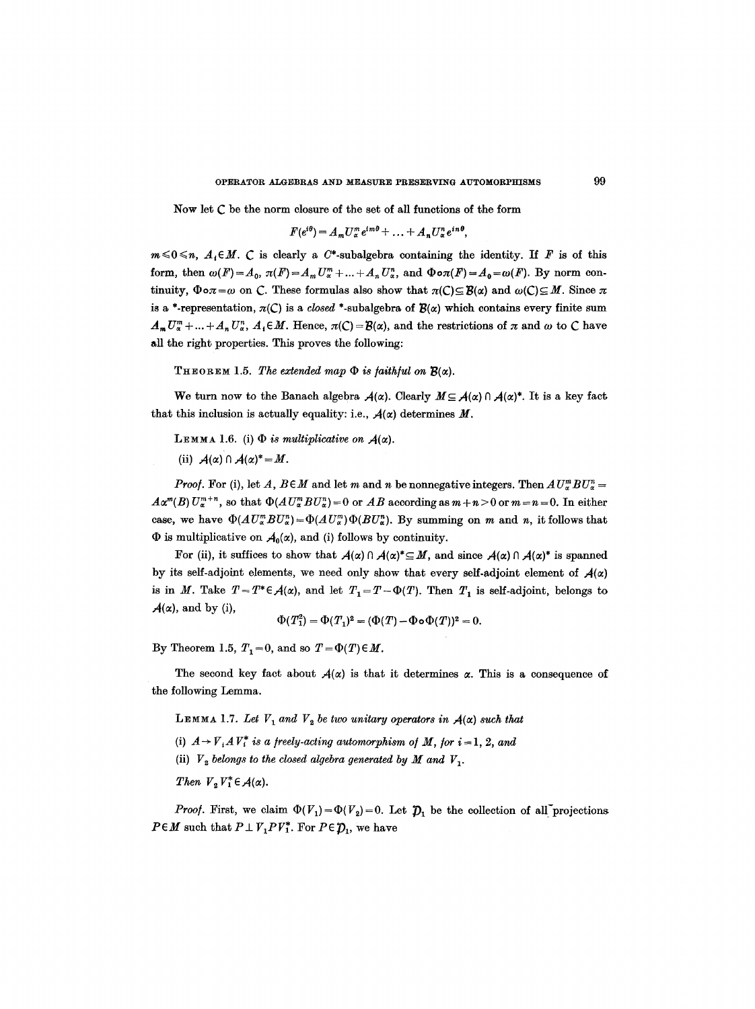Now let C be the norm closure of the set of all functions of the form

$$
F(e^{i\theta})=A_m U_\alpha^m e^{im\theta}+\ldots+A_n U_\alpha^n e^{in\theta},
$$

 $m \le 0 \le n$ ,  $A_i \in M$ . *C* is clearly a C\*-subalgebra containing the identity. If F is of this form, then  $\omega(F)=A_0$ ,  $\pi(F)=A_m U_{\alpha}^m + ... + A_n U_{\alpha}^n$ , and  $\Phi \circ \pi(F)=A_0=\omega(F)$ . By norm continuity,  $\Phi \circ \pi = \omega$  on C. These formulas also show that  $\pi(C) \subseteq \mathcal{B}(\alpha)$  and  $\omega(C) \subseteq M$ . Since  $\pi$ is a \*-representation,  $\pi(C)$  is a *closed* \*-subalgebra of  $\mathcal{B}(\alpha)$  which contains every finite sum  $A_m U^m_\alpha + ... + A_n U^m_\alpha$ ,  $A_i \in M$ . Hence,  $\pi(\mathcal{C}) = \mathcal{B}(\alpha)$ , and the restrictions of  $\pi$  and  $\omega$  to  $\mathcal{C}$  have all the right properties. This proves the following:

THEOREM 1.5. The extended map  $\Phi$  is faithful on  $\mathcal{B}(\alpha)$ .

We turn now to the Banach algebra  $A(\alpha)$ . Clearly  $M \subseteq A(\alpha) \cap A(\alpha)^*$ . It is a key fact that this inclusion is actually equality: i.e.,  $A(\alpha)$  determines M.

LEMMA 1.6. (i)  $\Phi$  *is multiplicative on*  $A(\alpha)$ .

(ii)  $A(\alpha) \cap A(\alpha)^* = M$ .

*Proof.* For (i), let A,  $B \in M$  and let m and n be nonnegative integers. Then  $A U_{\alpha}^{m} B U_{\alpha}^{n} =$  $A\alpha^{m}(B) U_{\alpha}^{m+n}$ , so that  $\Phi(A U_{\alpha}^{m} B U_{\alpha}^{n}) = 0$  or  $AB$  according as  $m+n > 0$  or  $m = n = 0$ . In either case, we have  $\Phi(AU_{\alpha}^mBU_{\alpha}^n)=\Phi(AU_{\alpha}^m)\Phi(BU_{\alpha}^n)$ . By summing on m and n, it follows that  $\Phi$  is multiplicative on  $A_0(\alpha)$ , and (i) follows by continuity.

For (ii), it suffices to show that  $A(\alpha) \cap A(\alpha)^* \subseteq M$ , and since  $A(\alpha) \cap A(\alpha)^*$  is spanned by its self-adjoint elements, we need only show that every self-adjoint element of  $A(\alpha)$ is in M. Take  $T=T^*\epsilon A(\alpha)$ , and let  $T_1=T-\Phi(T)$ . Then  $T_1$  is self-adjoint, belongs to  $A(\alpha)$ , and by (i),

$$
\Phi(T_1^2) = \Phi(T_1)^2 = (\Phi(T) - \Phi \circ \Phi(T))^2 = 0.
$$

By Theorem 1.5,  $T_1=0$ , and so  $T=\Phi(T)\in M$ .

The second key fact about  $A(x)$  is that it determines  $\alpha$ . This is a consequence of the following Lemma.

LEMMA 1.7. Let  $V_1$  and  $V_2$  be two unitary operators in  $A(\alpha)$  such that

(i)  $A \rightarrow V_i A V_i^*$  is a freely-acting automorphism of M, for  $i = 1, 2$ , and

(ii)  $V_2$  *belongs to the closed algebra generated by M and V<sub>1</sub>.* 

*Then*  $V_2 V_1^* \in \mathcal{A}(\alpha)$ .

*Proof.* First, we claim  $\Phi(V_1) = \Phi(V_2) = 0$ . Let  $\mathcal{D}_1$  be the collection of all projections  $P \in M$  such that  $P \perp V_1 P V_1^*$ . For  $P \in \mathcal{D}_1$ , we have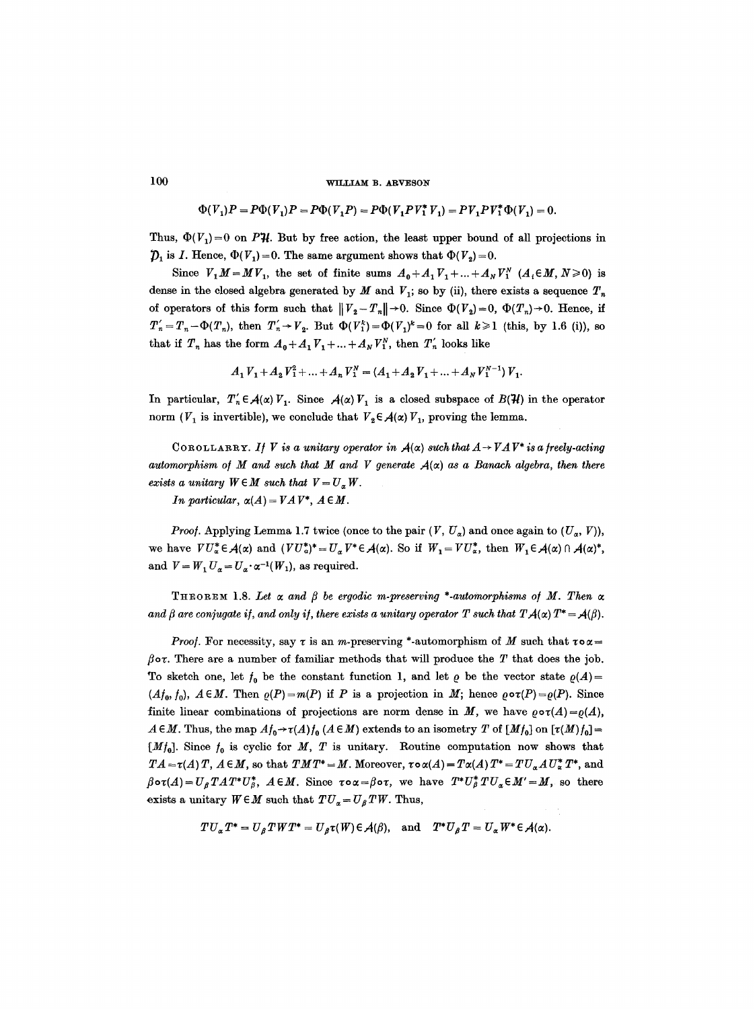$\Phi(V_1)P = P\Phi(V_1)P = P\Phi(V_1P) = P\Phi(V_1PV_1^*V_1) = PV_1PV_1^*\Phi(V_1) = 0.$ 

Thus,  $\Phi(V_1)=0$  on PH. But by free action, the least upper bound of all projections in  $\mathcal{D}_1$  is *I*. Hence,  $\Phi(V_1)=0$ . The same argument shows that  $\Phi(V_2)=0$ .

Since  $V_1M=MV_1$ , the set of finite sums  $A_0+A_1V_1+...+A_NV_1^N$   $(A_i\in M, N\geq 0)$  is dense in the closed algebra generated by  $M$  and  $V_1$ ; so by (ii), there exists a sequence  $T_n$ of operators of this form such that  $||V_2-T_n||\rightarrow 0$ . Since  $\Phi(V_2)=0$ ,  $\Phi(T_n)\rightarrow 0$ . Hence, if  $T'_{n}=T_{n}-\Phi(T_{n}),$  then  $T'_{n}\to V_{2}$ . But  $\Phi(V_{1}^{k})=\Phi(V_{1})^{k}=0$  for all  $k\geq 1$  (this, by 1.6 (i)), so that if  $T_n$  has the form  $A_0 + A_1 V_1 + ... + A_N V_1^N$ , then  $T'_n$  looks like

$$
A_1 V_1 + A_2 V_1^2 + \ldots + A_n V_1^N = (A_1 + A_2 V_1 + \ldots + A_N V_1^{N-1}) V_1.
$$

In particular,  $T'_n \in A(\alpha) V_1$ . Since  $A(\alpha) V_1$  is a closed subspace of  $B(\mathcal{H})$  in the operator norm ( $V_1$  is invertible), we conclude that  $V_2 \in \mathcal{A}(\alpha)$   $V_1$ , proving the lemma.

COROLLARRY. *If V is a unitary operator in*  $A(\alpha)$  such that  $A \rightarrow VAV^*$  is a freely-acting automorphism of M and such that M and V generate  $A(\alpha)$  as a Banach algebra, then there *exists a unitary*  $W \in M$  *such that*  $V = U_a W$ .

*In particular,*  $\alpha(A) = VAV^*$ ,  $A \in M$ .

*Proof.* Applying Lemma 1.7 twice (once to the pair  $(V, U_a)$  and once again to  $(U_a, V)$ ), we have  $V U_x^* \in A(\alpha)$  and  $(VU_x^*)^* = U_\alpha V^* \in A(\alpha)$ . So if  $W_1 = V U_x^*$ , then  $W_1 \in A(\alpha) \cap A(\alpha)^*$ , and  $V = W_1 U_a = U_a \cdot \alpha^{-1}(W_1)$ , as required.

THEOREM 1.8. Let  $\alpha$  and  $\beta$  be ergodic m-preserving \*-automorphisms of M. Then  $\alpha$ and  $\beta$  are conjugate if, and only if, there exists a unitary operator T such that  $T A(\alpha) T^* = A(\beta)$ .

*Proof.* For necessity, say  $\tau$  is an *m*-preserving \*-automorphism of M such that  $\tau \circ \alpha =$  $\beta$ ov. There are a number of familiar methods that will produce the T that does the job. To sketch one, let  $f_0$  be the constant function 1, and let  $\varrho$  be the vector state  $\varrho(A)$ =  $(Af_0, f_0)$ ,  $A \in M$ . Then  $\varrho(P)=m(P)$  if P is a projection in M; hence  $\varrho \circ \tau(P)=\varrho(P)$ . Since finite linear combinations of projections are norm dense in M, we have  $\varrho \circ \tau(A) = \varrho(A)$ ,  $A \in M$ . Thus, the map  $A f_0 \rightarrow \tau(A) f_0(A \in M)$  extends to an isometry T of  $[M f_0]$  on  $[\tau(M) f_0] =$  $[Mf_0]$ . Since  $f_0$  is cyclic for M, T is unitary. Routine computation now shows that  $TA = \tau(A)T$ ,  $A \in M$ , so that  $TMT^* = M$ . Moreover,  $\tau \circ \alpha(A) = T\alpha(A) T^* = TU_{\alpha}AU_{\alpha}^* T^*$ , and  $\beta \circ \tau(A) = U_{\beta} T A T^* U_{\beta}^*, A \in M.$  Since  $\tau \circ \alpha = \beta \circ \tau$ , we have  $T^* U_{\beta}^* T U_{\alpha} \in M' = M$ , so there exists a unitary  $W \in M$  such that  $TU_{\alpha} = U_{\beta} TW$ . Thus,

$$
TU_{\alpha}T^*=U_{\beta}TWT^*=U_{\beta}\tau(W)\in \mathcal{A}(\beta), \text{ and } T^*U_{\beta}T=U_{\alpha}W^*\in \mathcal{A}(\alpha).
$$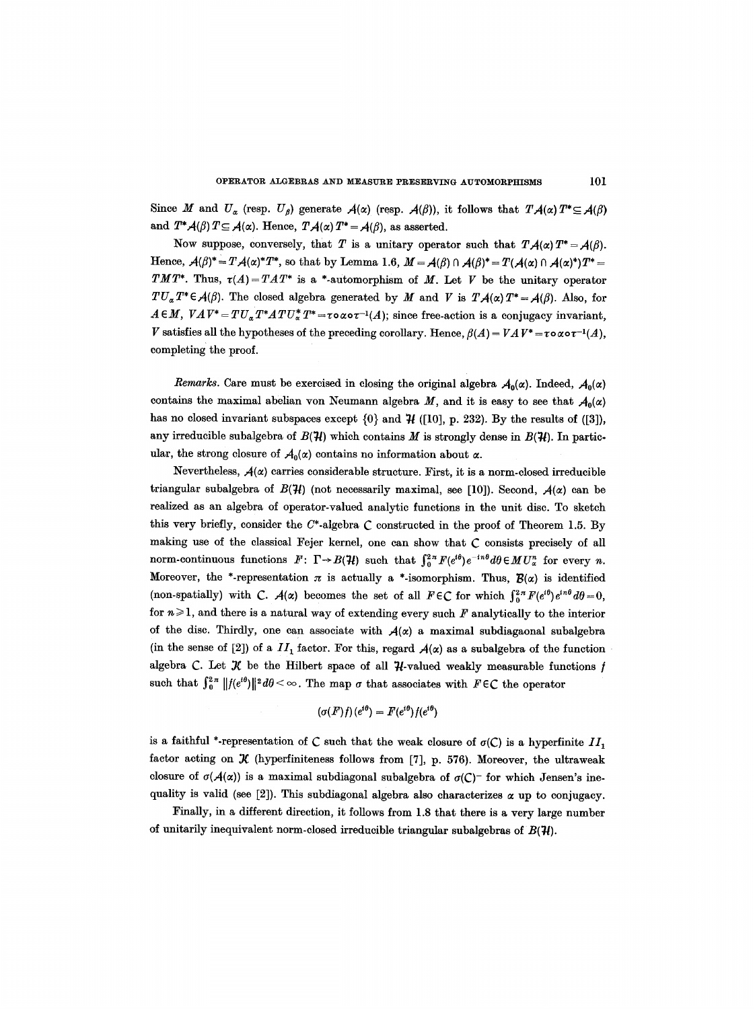Since M and  $U_{\alpha}$  (resp.  $U_{\beta}$ ) generate  $A(\alpha)$  (resp.  $A(\beta)$ ), it follows that  $T.A(\alpha)T^*\subseteq A(\beta)$ and  $T^*A(\beta)$   $T \subseteq A(\alpha)$ . Hence,  $T A(\alpha)$   $T^* = A(\beta)$ , as asserted.

Now suppose, conversely, that T is a unitary operator such that  $T A(\alpha) T^* = A(\beta)$ . Hence,  $\mathcal{A}(\beta)^* = T\mathcal{A}(\alpha)^*T^*$ , so that by Lemma 1.6,  $M = \mathcal{A}(\beta) \cap \mathcal{A}(\beta)^* = T(\mathcal{A}(\alpha) \cap \mathcal{A}(\alpha)^*)T^* = T(\mathcal{A}(\alpha) \cap \mathcal{A}(\alpha)^*)T^*$ *TMT\**. Thus,  $\tau(A) = TAT^*$  is a \*-automorphism of M. Let V be the unitary operator  $TU_{\alpha}T^{*}\in \mathcal{A}(\beta)$ . The closed algebra generated by M and V is  $T\mathcal{A}(\alpha)T^{*}=\mathcal{A}(\beta)$ . Also, for  $A \in M$ ,  $V A V^* = T U_{\alpha} T^* A T U_{\alpha}^* T^* = \tau \circ \alpha \circ \tau^{-1}(A)$ ; since free-action is a conjugacy invariant, V satisfies all the hypotheses of the preceding corollary. Hence,  $\beta(A) = VAV^* = \tau \circ \alpha \circ \tau^{-1}(A)$ , completing the proof.

*Remarks.* Care must be exercised in closing the original algebra  $A_0(\alpha)$ . Indeed,  $A_0(\alpha)$ contains the maximal abelian von Neumann algebra M, and it is easy to see that  $A_0(\alpha)$ has no closed invariant subspaces except  $\{0\}$  and  $\mathcal{H}$  ([10], p. 232). By the results of ([3]), any irreducible subalgebra of  $B(\mathcal{H})$  which contains M is strongly dense in  $B(\mathcal{H})$ . In particular, the strong closure of  $A_0(x)$  contains no information about  $\alpha$ .

Nevertheless,  $A(\alpha)$  carries considerable structure. First, it is a norm-closed irreducible triangular subalgebra of  $B(\mathcal{H})$  (not necessarily maximal, see [10]). Second,  $A(\alpha)$  can be realized as an algebra of operator-valued analytic functions in the unit disc. To sketch this very briefly, consider the  $C^*$ -algebra C constructed in the proof of Theorem 1.5. By making use of the classical Fejer kernel, one can show that C consists precisely of all norm-continuous functions  $F: \Gamma \rightarrow B(\mathcal{H})$  such that  $\int_0^{2\pi} F(e^{i\theta}) e^{-in\theta} d\theta \in MU_\alpha^n$  for every n. Moreover, the \*-representation  $\pi$  is actually a \*-isomorphism. Thus,  $\mathcal{B}(\alpha)$  is identified (non-spatially) with C.  $A(x)$  becomes the set of all  $F \in \mathbb{C}$  for which  $\int_{0}^{2\pi} F(e^{i\theta}) e^{in\theta} d\theta = 0$ , for  $n \geq 1$ , and there is a natural way of extending every such F analytically to the interior of the disc. Thirdly, one can associate with  $A(x)$  a maximal subdiagaonal subalgebra (in the sense of [2]) of a  $II_1$  factor. For this, regard  $A(\alpha)$  as a subalgebra of the function algebra C. Let  $\mathcal K$  be the Hilbert space of all  $\mathcal H$ -valued weakly measurable functions  $f$ such that  $\int_0^{2\pi} ||f(e^{i\theta})||^2 d\theta < \infty$ . The map  $\sigma$  that associates with  $F \in \mathbb{C}$  the operator

$$
(\sigma(F)f)(e^{i\theta})=F(e^{i\theta})f(e^{i\theta})
$$

is a faithful \*-representation of C such that the weak closure of  $\sigma(C)$  is a hyperfinite  $II_1$ factor acting on  $K$  (hyperfiniteness follows from [7], p. 576). Moreover, the ultraweak closure of  $\sigma(A(\alpha))$  is a maximal subdiagonal subalgebra of  $\sigma(C)$ <sup>-</sup> for which Jensen's inequality is valid (see [2]). This subdiagonal algebra also characterizes  $\alpha$  up to conjugacy.

Finally, in a different direction, it follows from 1.8 that there is a very large number of unitarily inequivalent norm-closed irreducible triangular subalgebras of  $B(\mathcal{H})$ .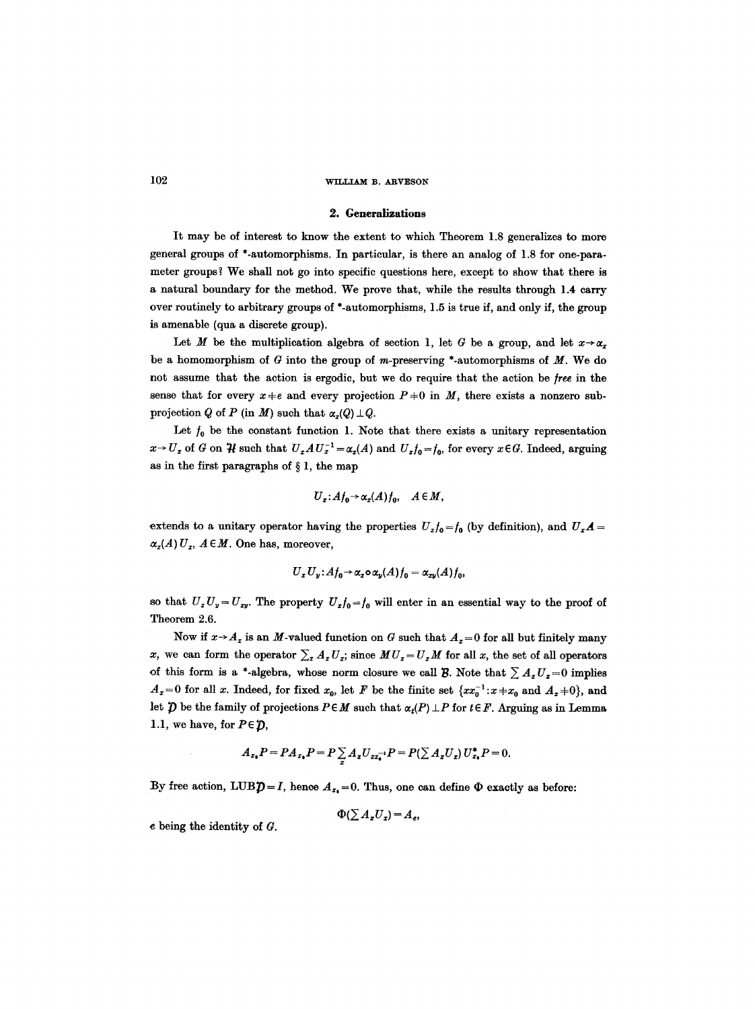#### **2. Generalizations**

It may be of interest to know the extent to which Theorem 1.8 generalizes to more general groups of \*-automorphisms. In particular, is there an analog of 1.8 for one-parameter groups ? We shall not go into specific questions here, except to show that there is a natural boundary for the method. We prove that, while the results through 1.4 carry over routinely to arbitrary groups of \*-automorphisms, 1.5 is true if, and only if, the group is amenable (qua a discrete group).

Let M be the multiplication algebra of section 1, let G be a group, and let  $x \rightarrow \alpha_x$ be a homomorphism of  $G$  into the group of m-preserving \*-automorphisms of  $M$ . We do not assume that the action is ergodic, but we do require that the action be free in the sense that for every  $x+e$  and every projection  $P+0$  in M, there exists a nonzero subprojection Q of P (in M) such that  $\alpha_x(Q) \perp Q$ .

Let  $f_0$  be the constant function 1. Note that there exists a unitary representation  $x \rightarrow U_x$  of G on  $\mathcal{H}$  such that  $U_x A U_x^{-1} = \alpha_x(A)$  and  $U_x f_0 = f_0$ , for every  $x \in G$ . Indeed, arguing as in the first paragraphs of  $\S 1$ , the map

$$
U_x: A f_0 \to \alpha_x(A) f_0, \quad A \in M,
$$

extends to a unitary operator having the properties  $U_x f_0 = f_0$  (by definition), and  $U_x A =$  $\alpha_x(A) U_x$ ,  $A \in M$ . One has, moreover,

$$
U_x U_y: A f_0 \to \alpha_x \circ \alpha_y(A) f_0 = \alpha_{xy}(A) f_0,
$$

so that  $U_xU_y=U_{xy}$ . The property  $U_xf_0=f_0$  will enter in an essential way to the proof of Theorem 2.6.

Now if  $x \rightarrow A_x$  is an M-valued function on G such that  $A_x = 0$  for all but finitely many x, we can form the operator  $\sum_{x} A_x U_x$ ; since  $MU_x = U_xM$  for all x, the set of all operators of this form is a \*-algebra, whose norm closure we call  $\mathcal B$ . Note that  $\sum A_x U_x = 0$  implies  $A_x=0$  for all x. Indeed, for fixed  $x_0$ , let F be the finite set  $\{xx_0^{-1}:x+x_0 \text{ and } A_x=0\}$ , and let  $\tilde{\mathcal{D}}$  be the family of projections  $P \in M$  such that  $\alpha_t(P) \perp P$  for  $t \in F$ . Arguing as in Lemma 1.1, we have, for  $P \in \mathcal{D}$ ,

$$
A_{x_0}P = PA_{x_0}P = P \sum_{\tau} A_{\tau} U_{xx_0^{-1}}P = P(\sum A_{\tau} U_{\tau}) U_{x_0}^* P = 0.
$$

By free action,  $LUBD=I$ , hence  $A_{x_0}=0$ . Thus, one can define  $\Phi$  exactly as before:

 $\Phi(\sum A_{x}U_{x}) = A_{e}$ 

e being the identity of G.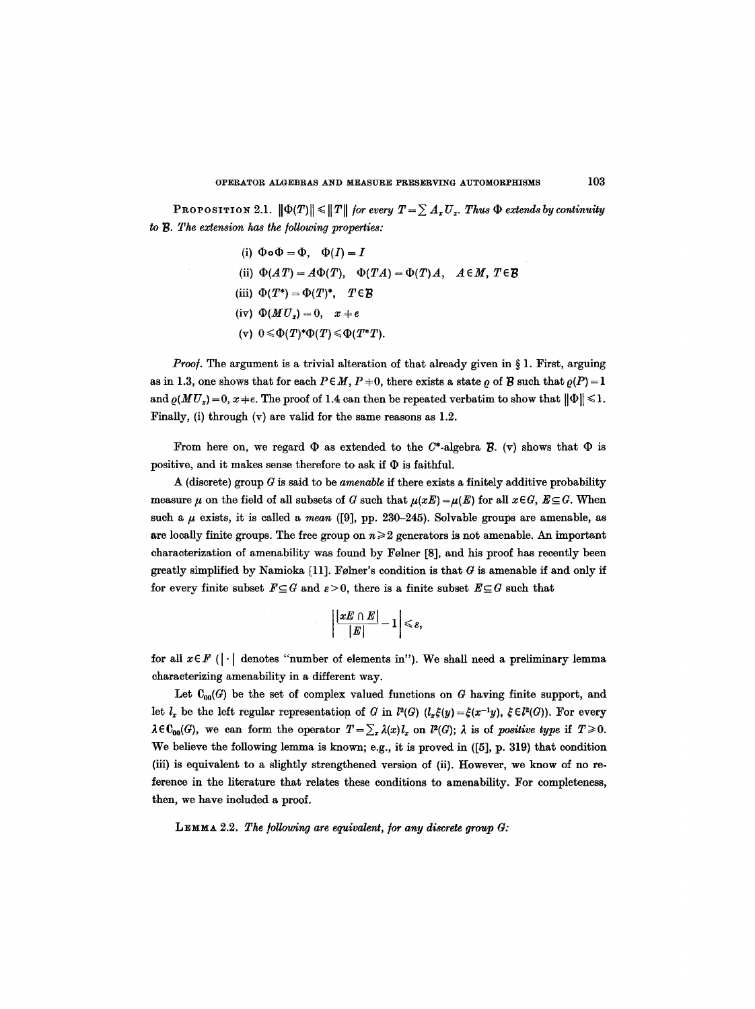**PROPOSITION 2.1.**  $\|\Phi(T)\| \leq \|T\|$  for every  $T = \sum A_x U_x$ . Thus  $\Phi$  extends by continuity to  $B$ . The extension has the following properties:

> (i)  $\Phi \circ \Phi = \Phi$ ,  $\Phi(I) = I$ (ii)  $\Phi(AT) = A\Phi(T)$ ,  $\Phi(TA) = \Phi(T)A$ ,  $A \in M$ ,  $T \in \mathcal{B}$ (iii)  $\Phi(T^*) = \Phi(T)^*$ ,  $T \in \mathcal{B}$ (iv)  $\Phi(MU_x) = 0$ ,  $x + e$ (v)  $0 \leq \Phi(T)^* \Phi(T) \leq \Phi(T^*T)$ .

*Proof.* The argument is a trivial alteration of that already given in § 1. First, arguing as in 1.3, one shows that for each  $P \in M$ ,  $P+0$ , there exists a state  $\rho$  of B such that  $\rho(P)=1$ and  $\rho(MU_x)=0$ ,  $x \neq e$ . The proof of 1.4 can then be repeated verbatim to show that  $\|\Phi\| \leq 1$ . Finally, (i) through  $(v)$  are valid for the same reasons as 1.2.

From here on, we regard  $\Phi$  as extended to the C\*-algebra  $\mathcal{B}$ . (v) shows that  $\Phi$  is positive, and it makes sense therefore to ask if  $\Phi$  is faithful.

A (discrete) group G is said to be *amenable if* there exists a finitely additive probability measure  $\mu$  on the field of all subsets of G such that  $\mu(xE) = \mu(E)$  for all  $x \in G$ ,  $E \subseteq G$ . When such a  $\mu$  exists, it is called a *mean* ([9], pp. 230-245). Solvable groups are amenable, as are locally finite groups. The free group on  $n\geqslant 2$  generators is not amenable. An important characterization of amenability was found by Folner [8], and his proof has recently been greatly simplified by Namioka [11]. Følner's condition is that  $G$  is amenable if and only if for every finite subset  $F \subseteq G$  and  $\varepsilon > 0$ , there is a finite subset  $E \subseteq G$  such that

$$
\left|\frac{\lfloor xE\cap E\rfloor}{|E|}\!-\!1\right|\leqslant\varepsilon,
$$

for all  $x \in F$  ( $|\cdot|$  denotes "number of elements in"). We shall need a preliminary lemma characterizing amenability in a different way.

Let  $C_{00}(G)$  be the set of complex valued functions on G having finite support, and let  $l_x$  be the left regular representation of G in  $l^2(G)$  ( $l_x\xi(y)=\xi(x^{-1}y)$ ,  $\xi\in l^2(G)$ ). For every  $\lambda \in \mathcal{C}_{00}(G)$ , we can form the operator  $T=\sum_{z}\lambda(x)l_{z}$  on  $l^{2}(G)$ ;  $\lambda$  is of *positive type* if  $T\geq 0$ . We believe the following lemma is known; e.g., it is proved in ([5], p. 319) that condition (iii) is equivalent to a slightly strengthened version of (ii). However, we know of no reference in the literature that relates these conditions to amenability. For completeness, then, we have included a proof.

LEMMA 2.2. The following are equivalent, for any discrete group G: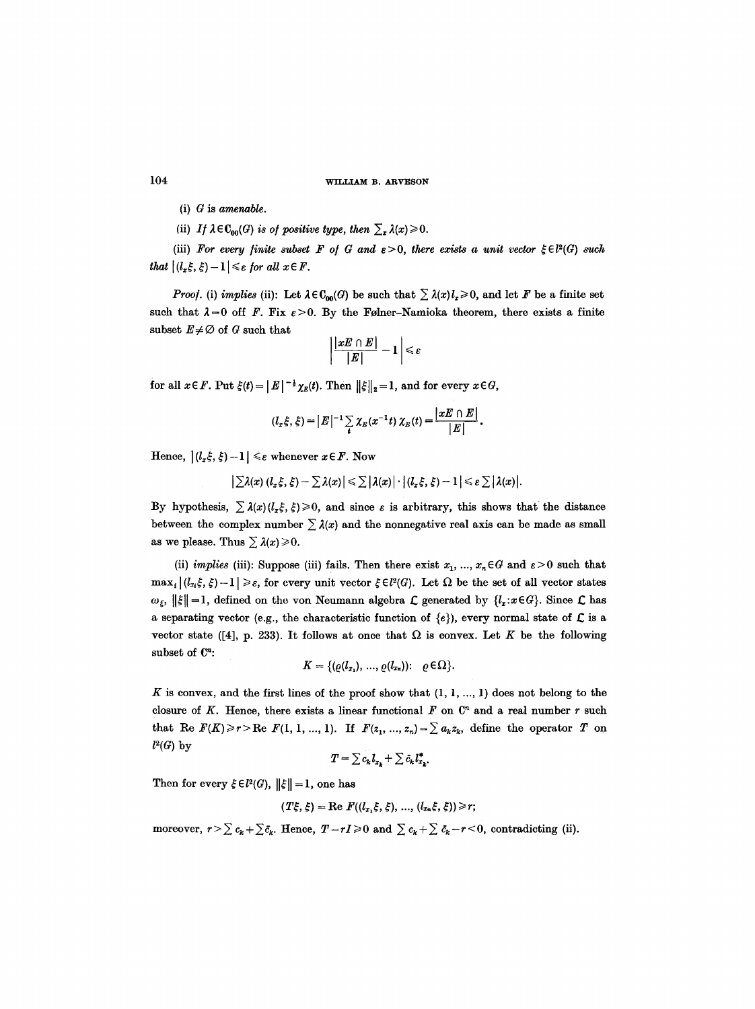- (i)  $G$  is amenable.
- (ii) *If*  $\lambda \in \mathbb{C}_{00}(G)$  *is of positive type, then*  $\sum_{x} \lambda(x) \ge 0$ .

(iii) For every finite subset F of G and  $\varepsilon > 0$ , there exists a unit vector  $\xi \in l^2(G)$  such that  $|(l_x\xi, \xi) - 1| \leq \varepsilon$  for all  $x \in F$ .

*Proof.* (i) *implies* (ii): Let  $\lambda \in \mathbb{C}_{00}(G)$  be such that  $\sum \lambda(x)l_x\geq 0$ , and let F be a finite set such that  $\lambda = 0$  off F. Fix  $\varepsilon > 0$ . By the Følner-Namioka theorem, there exists a finite subset  $E \neq \emptyset$  of G such that

$$
\left|\frac{|xE\cap E|}{|E|}-1\right|\leqslant \varepsilon
$$

for all  $x \in F$ . Put  $\xi(t) = |E|^{-\frac{1}{2}} \chi_E(t)$ . Then  $||\xi||_2 = 1$ , and for every  $x \in G$ ,

$$
(l_x\xi,\xi) = |E|^{-1}\sum_{t}\chi_{E}(x^{-1}t)\,\chi_{E}(t) = \frac{|xE\cap E|}{|E|}.
$$

Hence,  $|(l_x \xi, \xi) - 1| \leq \varepsilon$  whenever  $x \in F$ . Now

$$
\big|\sum \lambda(x)\,(l_x\,\xi,\,\xi)-\sum \lambda(x)\big|\leqslant \sum \big|\lambda(x)\big|\cdot \big|(l_x\,\xi,\,\xi)-1\big|\leqslant \varepsilon\sum \big|\lambda(x)\big|.
$$

By hypothesis,  $\sum \lambda(x) (l_z \xi, \xi) \geq 0$ , and since  $\varepsilon$  is arbitrary, this shows that the distance between the complex number  $\sum \lambda(x)$  and the nonnegative real axis can be made as small as we please. Thus  $\sum \lambda(x) \geq 0$ .

(ii) *implies* (iii): Suppose (iii) fails. Then there exist  $x_1, ..., x_n \in G$  and  $\varepsilon > 0$  such that  $\max_i |(l_{x_i} \xi, \xi)-1| \geq \varepsilon$ , for every unit vector  $\xi \in l^2(G)$ . Let  $\Omega$  be the set of all vector states  $\omega_{\xi}$ ,  $\|\xi\|$  = 1, defined on the von Neumann algebra  $\mathcal L$  generated by  $\{l_x : x \in G\}$ . Since  $\mathcal L$  has a separating vector (e.g., the characteristic function of  $\{e\}$ ), every normal state of  $\mathcal{L}$  is a vector state ([4], p. 233). It follows at once that  $\Omega$  is convex. Let K be the following subset of  $\mathbb{C}^n$ :

$$
K = \{(\varrho(l_{x_1}),\ldots,\varrho(l_{x_n}))\colon \varrho\in\Omega\}.
$$

K is convex, and the first lines of the proof show that  $(1, 1, ..., 1)$  does not belong to the closure of K. Hence, there exists a linear functional  $F$  on  $\mathbb{C}^n$  and a real number r such that Re  $F(K) \ge r$  > Re  $F(1, 1, ..., 1)$ . If  $F(z_1, ..., z_n) = \sum a_k z_k$ , define the operator T on  $l^2(G)$  by

$$
T = \sum c_k l_{x_k} + \sum \bar{c}_k l_{x_k}^*.
$$

Then for every  $\xi \in l^2(G)$ ,  $||\xi|| = 1$ , one has

$$
(T\xi,\xi)=\text{Re } F((l_{x_1}\xi,\xi),\,...,(l_{x_n}\xi,\xi))\geq r;
$$

moreover,  $r>\sum c_k+\sum \bar{c}_k$ . Hence,  $T-rI\geq 0$  and  $\sum c_k+\sum \bar{c}_k-r<0$ , contradicting (ii).

104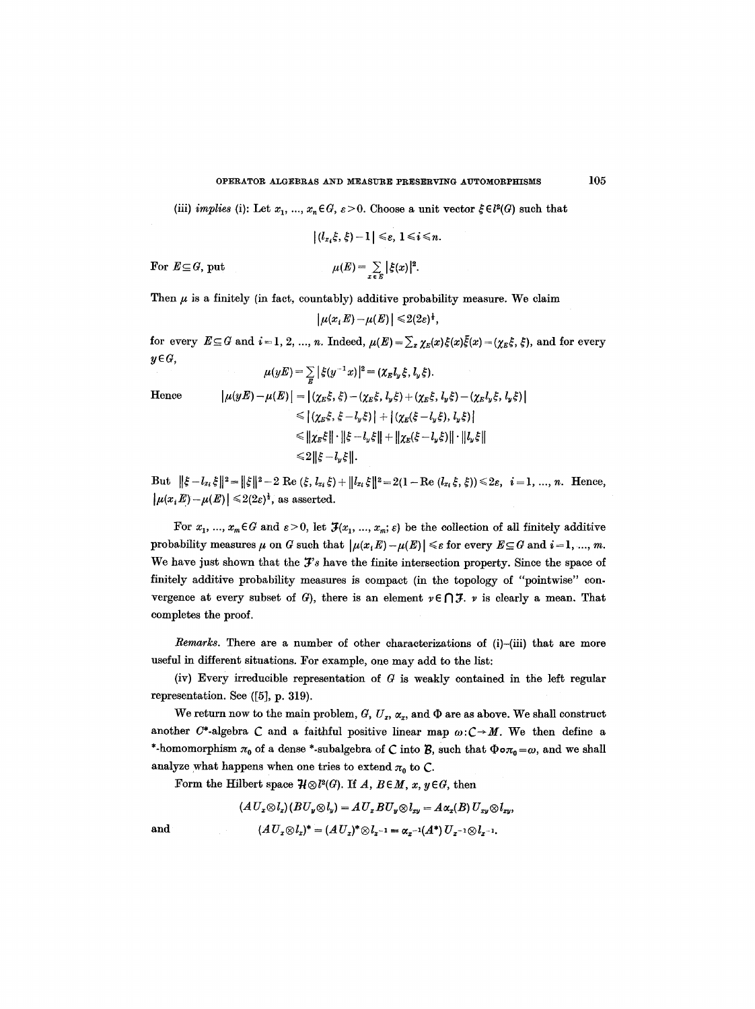(iii) *implies* (i): Let  $x_1, ..., x_n \in G$ ,  $\varepsilon > 0$ . Choose a unit vector  $\xi \in l^2(G)$  such that

$$
|(l_{x_i}\xi,\xi)-1|\leq \varepsilon,~1\leq i\leq n.
$$

For  $E \subseteq G$ , put  $\mu(E) = \sum_{x \in E} |\xi(x)|^2$ .

Then  $\mu$  is a finitely (in fact, countably) additive probability measure. We claim

$$
|\mu(x_i E)-\mu(E)|\leq 2(2\varepsilon)^{\frac{1}{2}},
$$

for every  $E \subseteq G$  and  $i = 1, 2, ..., n$ . Indeed,  $\mu(E) = \sum_{x} \chi_E(x)\xi(x)\bar{\xi}(x) = (\chi_E\xi, \xi)$ , and for every  $y \in G$ ,  $\mu(yE) = \sum |\xi(y^{-1}x)|^2 = (\chi_E l_y \xi, l_y \xi).$ 

Hence 
$$
|\mu(yE) - \mu(E)| = |(\chi_E \xi, \xi) - (\chi_E \xi, l_y \xi) + (\chi_E \xi, l_y \xi) - (\chi_E l_y \xi, l_y \xi)|
$$

$$
\leq |(\chi_E \xi, \xi - l_y \xi)| + |(\chi_E (\xi - l_y \xi), l_y \xi)|
$$

$$
\leq ||\chi_E \xi|| \cdot ||\xi - l_y \xi|| + ||\chi_E (\xi - l_y \xi)|| \cdot ||l_y \xi||
$$

$$
\leq 2 ||\xi - l_y \xi||.
$$

But  $\|\xi - l_{x_i}\xi\|^2 = \|\xi\|^2 - 2 \operatorname{Re}(\xi, l_{x_i}\xi) + \|l_{x_i}\xi\|^2 = 2(1 - \operatorname{Re}(l_{x_i}\xi, \xi)) \leq 2\varepsilon, i = 1, ..., n.$  Hence,  $|\mu(x_i E) - \mu(E)| \leq 2(2\varepsilon)^{\frac{1}{2}}$ , as asserted.

For  $x_1, ..., x_m \in G$  and  $\varepsilon > 0$ , let  $\mathcal{F}(x_1, ..., x_m; \varepsilon)$  be the collection of all finitely additive probability measures  $\mu$  on G such that  $|\mu(x, E) - \mu(E)| \leq \varepsilon$  for every  $E \subseteq G$  and  $i = 1, ..., m$ . We have just shown that the  $\mathcal{F}'s$  have the finite intersection property. Since the space of finitely additive probability measures is compact (in the topology of *"pointwise"* convergence at every subset of G), there is an element  $v \in \bigcap \mathcal{F}$ . v is clearly a mean. That completes the proof.

*Remarks.* There are a number of other characterizations of (i)-(iii) that are more useful in different situations. For example, one may add to the list:

(iv) Every irreducible representation of  $G$  is weakly contained in the left regular representation. See ([5], p. 319).

We return now to the main problem,  $G, U_x, \alpha_x$ , and  $\Phi$  are as above. We shall construct another C\*-algebra C and a faithful positive linear map  $\omega$ :C $\rightarrow$ M. We then define a \*-homomorphism  $\pi_0$  of a dense \*-subalgebra of C into B, such that  $\Phi \circ \pi_0 = \omega$ , and we shall analyze what happens when one tries to extend  $\pi_0$  to C.

Form the Hilbert space  $\mathcal{H} \otimes l^2(G)$ . If *A*,  $B \in M$ ,  $x, y \in G$ , then

$$
(A U_x \otimes l_x)(B U_y \otimes l_y) = A U_x B U_y \otimes l_{xy} = A \alpha_x(B) U_{xy} \otimes l_{xy},
$$
  
and  

$$
(A U_x \otimes l_x)^* = (A U_x)^* \otimes l_{x^{-1}} = \alpha_x^{-1}(A^*) U_{x^{-1}} \otimes l_{x^{-1}}.
$$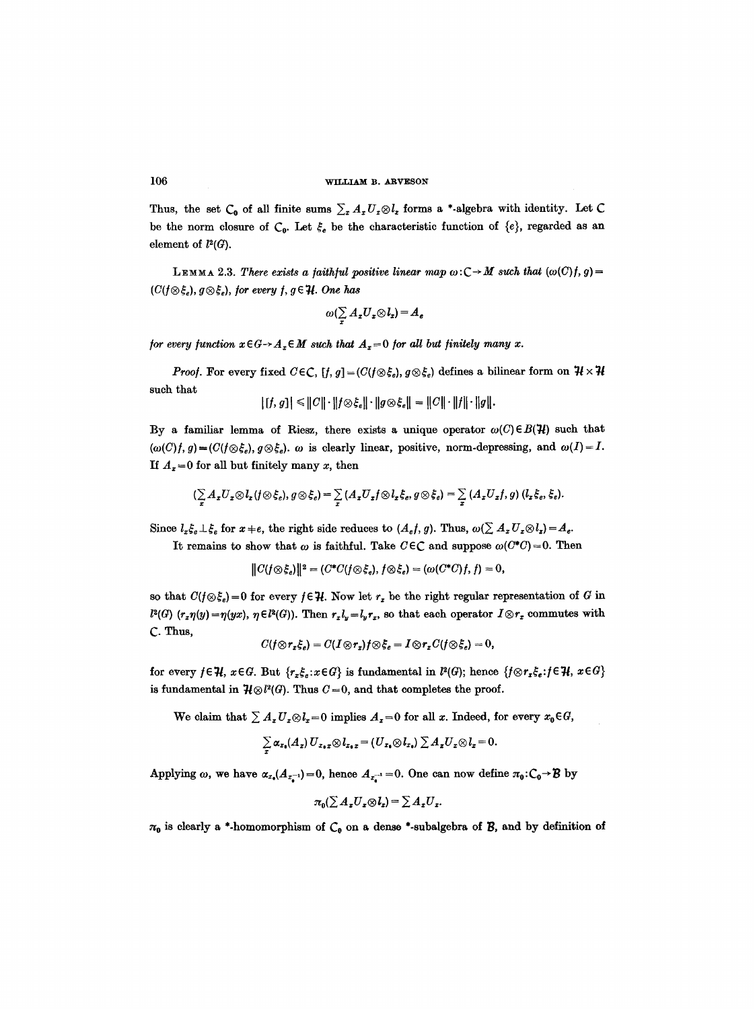Thus, the set  $C_0$  of all finite sums  $\sum_z A_z U_z \otimes l_z$  forms a \*-algebra with identity. Let C be the norm closure of  $C_0$ . Let  $\xi_e$  be the characteristic function of  $\{e\}$ , regarded as an element of  $l^2(G)$ .

LEMMA 2.3. *There exists a faithful positive linear map*  $\omega: C \rightarrow M$  *such that*  $(\omega(C)/f, g)$ =  $(C(f \otimes \xi_e), g \otimes \xi_e)$ , for every f,  $g \in \mathcal{H}$ . One has

$$
\omega(\sum_{x}A_{x}U_{x}\otimes I_{x})=A_{e}
$$

*for every function*  $x \in G \rightarrow A_x \in M$  *such that*  $A_x = 0$  *for all but finitely many x.* 

*Proof.* For every fixed  $C \in \mathbb{C}$ ,  $[f, g] = (C(f \otimes \xi_e), g \otimes \xi_e)$  defines a bilinear form on  $\mathcal{H} \times \mathcal{H}$ such that

$$
| [f, g] | \leq ||C|| \cdot ||f \otimes \xi_e|| \cdot ||g \otimes \xi_e|| = ||C|| \cdot ||f|| \cdot ||g||.
$$

By a familiar lemma of Riesz, there exists a unique operator  $\omega(C) \in B(H)$  such that  $(\omega(C)f, g) = (C(f \otimes \xi_e), g \otimes \xi_e).$   $\omega$  is clearly linear, positive, norm-depressing, and  $\omega(I) = I$ . If  $A_z = 0$  for all but finitely many x, then

$$
(\sum_{x} A_x U_x \otimes I_x (f \otimes \xi_e), g \otimes \xi_e) = \sum_{x} (A_x U_x f \otimes I_x \xi_e, g \otimes \xi_e) = \sum_{x} (A_x U_x f, g) (I_x \xi_e, \xi_e).
$$

Since  $l_z \xi_e \perp \xi_e$  for  $x \neq e$ , the right side reduces to  $(A_e f, g)$ . Thus,  $\omega(\sum A_x U_x \otimes l_x) = A_e$ .

It remains to show that  $\omega$  is faithful. Take  $C \in \mathbb{C}$  and suppose  $\omega(C^*C)=0$ . Then

$$
||C(f\otimes \xi_e)||^2 = (C^*C(f\otimes \xi_e), f\otimes \xi_e) = (\omega(C^*C)f, f) = 0,
$$

so that  $C(f \otimes \xi_e) = 0$  for every  $f \in \mathcal{H}$ . Now let  $r_x$  be the right regular representation of G in  $l^2(G)$  ( $r_x\eta(y)=\eta(yx)$ ,  $\eta \in l^2(G)$ ). Then  $r_xl_y=l_yr_x$ , so that each operator  $I \otimes r_x$  commutes with C- Thus,

$$
C(f \otimes r_x \xi_e) = C(I \otimes r_x)f \otimes \xi_e = I \otimes r_x C(f \otimes \xi_e) = 0,
$$

for every  $f \in \mathcal{H}$ ,  $x \in G$ . But  $\{r_x \xi_e : x \in G\}$  is fundamental in  $l^2(G)$ ; hence  $\{f \otimes r_x \xi_e : f \in \mathcal{H}$ ,  $x \in G\}$ is fundamental in  $\mathcal{H} \otimes l^2(G)$ . Thus  $C=0$ , and that completes the proof.

We claim that  $\sum A_x U_x \otimes l_x = 0$  implies  $A_x = 0$  for all x. Indeed, for every  $x_0 \in G$ ,

$$
\sum_{\alpha} \alpha_{x_0}(A_x) U_{x_0x} \otimes l_{x_0x} = (U_{x_0} \otimes l_{x_0}) \sum_{\alpha} A_x U_x \otimes l_x = 0.
$$

Applying  $\omega$ , we have  $\alpha_{x_0}(A_{x_0-1}) = 0$ , hence  $A_{x_0-1} = 0$ . One can now define  $\pi_0: C_0 \to \mathcal{B}$  by

$$
\pi_0(\sum A_x U_x \otimes l_x) = \sum A_x U_x.
$$

 $\pi_0$  is clearly a \*-homomorphism of  $C_0$  on a dense \*-subalgebra of B, and by definition of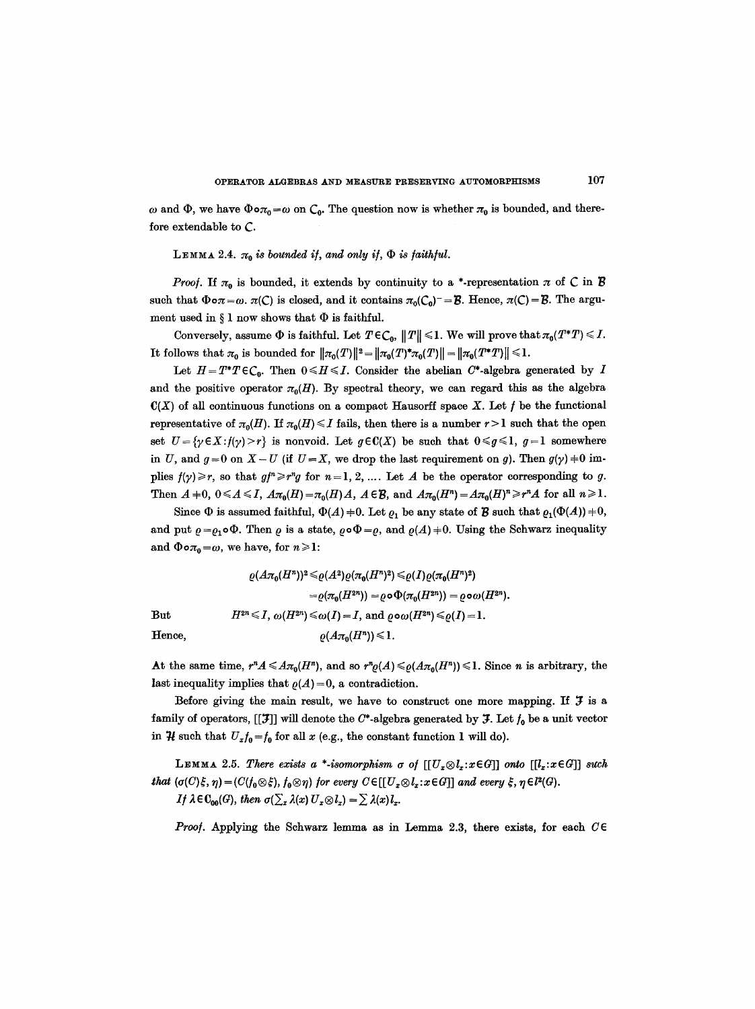$\omega$  and  $\Phi$ , we have  $\Phi \circ \pi_0 = \omega$  on  $C_0$ . The question now is whether  $\pi_0$  is bounded, and therefore extendable to C.

LEMMA 2.4.  $\pi_0$  *is bounded if, and only if,*  $\Phi$  *is faithful.* 

*Proof.* If  $\pi_0$  is bounded, it extends by continuity to a \*-representation  $\pi$  of C in B such that  $\Phi \circ \pi = \omega$ .  $\pi(C)$  is closed, and it contains  $\pi_0(C_0) = B$ . Hence,  $\pi(C) = B$ . The argument used in  $\S 1$  now shows that  $\Phi$  is faithful.

Conversely, assume  $\Phi$  is faithful. Let  $T \in C_0$ ,  $||T|| \leq 1$ . We will prove that  $\pi_0(T^*T) \leq I$ . It follows that  $\pi_0$  is bounded for  $\|\pi_0(T)\|^2 = \|\pi_0(T)^* \pi_0(T)\| = \|\pi_0(T^*T)\| \leq 1$ .

Let  $H=T^*T\epsilon\mathcal{C}_0$ . Then  $0\leq H\leq I$ . Consider the abelian  $C^*$ -algebra generated by I and the positive operator  $\pi_0(H)$ . By spectral theory, we can regard this as the algebra  $C(X)$  of all continuous functions on a compact Hausorff space X. Let f be the functional representative of  $\pi_0(H)$ . If  $\pi_0(H) \leq I$  fails, then there is a number  $r > 1$  such that the open set  $U = \{y \in X : f(y) > r\}$  is nonvoid. Let  $g \in C(X)$  be such that  $0 \le g \le 1$ ,  $g = 1$  somewhere in U, and  $g=0$  on  $X-U$  (if  $U=X$ , we drop the last requirement on g). Then  $g(\gamma) \neq 0$  implies  $f(\gamma) \geq r$ , so that  $g f \geq r^n g$  for  $n=1, 2, ...$  Let A be the operator corresponding to g. Then  $A +0$ ,  $0 \leq A \leq I$ ,  $A\pi_0(H) = \pi_0(H)A$ ,  $A \in \mathcal{B}$ , and  $A\pi_0(H^n) = A\pi_0(H)^n \geq r^n A$  for all  $n \geq 1$ .

Since  $\Phi$  is assumed faithful,  $\Phi(A) \neq 0$ . Let  $\varrho_1$  be any state of  $\mathcal B$  such that  $\varrho_1(\Phi(A)) \neq 0$ , and put  $\rho = \rho_1 \circ \Phi$ . Then  $\rho$  is a state,  $\rho \circ \Phi = \rho$ , and  $\rho(A) \neq 0$ . Using the Schwarz inequality and  $\Phi \circ \pi_0 = \omega$ , we have, for  $n \geq 1$ :

$$
\varrho(A\pi_0(H^n))^2 \leq \varrho(A^2)\varrho(\pi_0(H^n)^2) \leq \varrho(I)\varrho(\pi_0(H^n)^2)
$$
  
\n
$$
= \varrho(\pi_0(H^{2n})) = \varrho \circ \Phi(\pi_0(H^{2n})) = \varrho \circ \omega(H^{2n}).
$$
  
\nBut  
\n
$$
H^{2n} \leq I, \ \omega(H^{2n}) \leq \omega(I) = I, \text{ and } \varrho \circ \omega(H^{2n}) \leq \varrho(I) = I.
$$
  
\nHence,  
\n
$$
\varrho(A\pi_0(H^n)) \leq 1.
$$

At the same time,  $r^n A \leq A \pi_0(H^n)$ , and so  $r^n \varrho(A) \leq \varrho(A \pi_0(H^n)) \leq 1$ . Since *n* is arbitrary, the last inequality implies that  $\rho(A)=0$ , a contradiction.

Before giving the main result, we have to construct one more mapping. If  $\mathcal{F}$  is a family of operators,  $[[\mathcal{F}]]$  will denote the C\*-algebra generated by  $\mathcal{F}$ . Let  $f_0$  be a unit vector in  $\mathcal H$  such that  $U_x f_0 = f_0$  for all x (e.g., the constant function 1 will do).

LEMMA 2.5. *There exists a \*-isomorphism*  $\sigma$  *of*  $[[U_x \otimes l_x : x \in G]]$  *onto*  $[[l_x : x \in G]]$  *such that*  $(\sigma(C)\xi, \eta) = (C(f_0\otimes \xi), f_0\otimes \eta)$  for every  $C \in [[U_x\otimes l_x : x \in G]]$  and every  $\xi, \eta \in l^2(G)$ . If  $\lambda \in \mathcal{C}_{00}(G)$ , then  $\sigma(\sum_{x} \lambda(x) U_{x} \otimes l_{x}) = \sum \lambda(x) l_{x}.$ 

*Proof.* Applying the Schwarz lemma as in Lemma 2.3, there exists, for each  $C \in$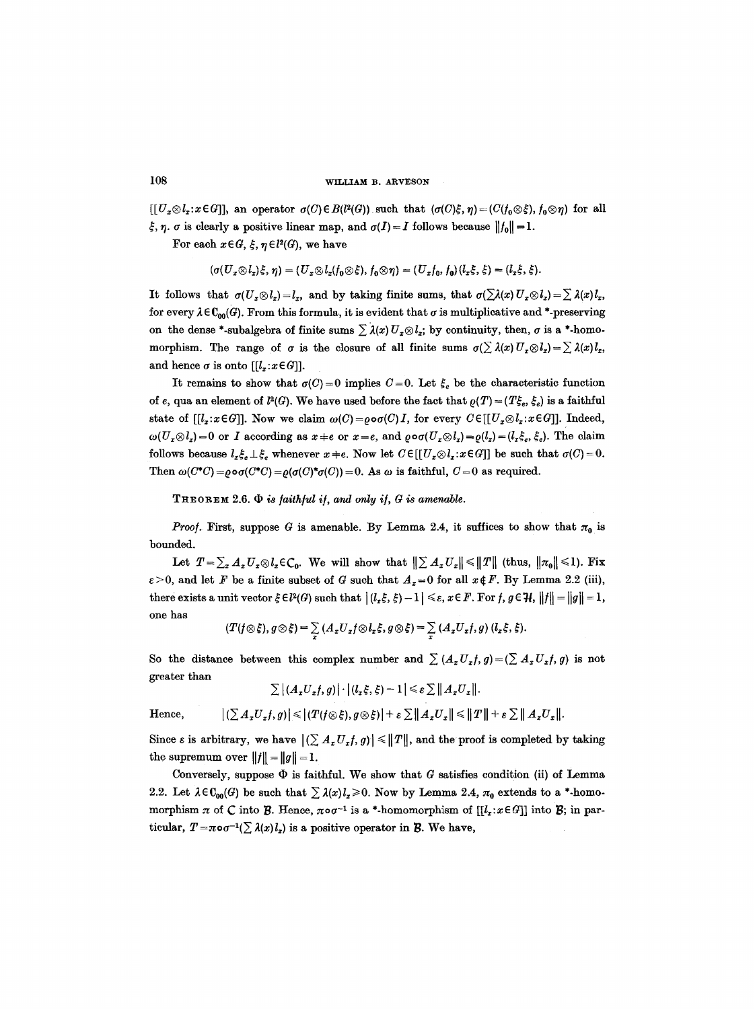$[[U_x \otimes l_x : x \in G]],$  an operator  $\sigma(C) \in B(l^2(G))$  such that  $(\sigma(C)\xi, \eta) = (C(f_0 \otimes \xi), f_0 \otimes \eta)$  for all  $\zeta$ ,  $\eta$ .  $\sigma$  is clearly a positive linear map, and  $\sigma(I)=I$  follows because  $||f_0||=1$ .

For each  $x \in G$ ,  $\xi$ ,  $\eta \in l^2(G)$ , we have

$$
(\sigma(U_x\otimes l_x)\xi,\eta)=(U_x\otimes l_x(f_0\otimes \xi),f_0\otimes \eta)=(U_xf_0,f_0)(l_x\xi,\xi)=(l_x\xi,\xi).
$$

It follows that  $\sigma(U_x \otimes l_x) = l_x$ , and by taking finite sums, that  $\sigma(\sum \lambda(x) U_x \otimes l_x) = \sum \lambda(x) l_x$ , for every  $\lambda \in \mathbb{C}_{00}(\mathcal{G})$ . From this formula, it is evident that  $\sigma$  is multiplicative and \*-preserving on the dense \*-subalgebra of finite sums  $\sum \lambda(x) U_x \otimes l_x$ ; by continuity, then,  $\sigma$  is a \*-homomorphism. The range of  $\sigma$  is the closure of all finite sums  $\sigma(\sum \lambda(x) U_x \otimes l_x) = \sum \lambda(x) l_x$ , and hence  $\sigma$  is onto  $[[l_x:x \in G]].$ 

It remains to show that  $q(C)=0$  implies  $C=0$ . Let  $\xi_e$  be the characteristic function of e, qua an element of  $l^2(G)$ . We have used before the fact that  $\rho(T) = (T\xi_e, \xi_e)$  is a faithful state of  $[[l_x:x \in G]]$ . Now we claim  $\omega(C) = \rho \circ \sigma(C) I$ , for every  $C \in [[U_x \otimes l_x:x \in G]]$ . Indeed,  $\omega(U_x \otimes l_x) = 0$  or *I* according as  $x \neq e$  or  $x = e$ , and  $\varrho \circ \sigma(U_x \otimes l_x) = \varrho(l_x) = (l_x \xi_e, \xi_e)$ . The claim follows because  $l_z \xi_e \perp \xi_e$  whenever  $x \neq e$ . Now let  $C \in [[U_x \otimes l_x : x \in G]]$  be such that  $\sigma(C) = 0$ . Then  $\omega(C^*C) = \rho \circ \sigma(C^*C) = \rho(\sigma(C)^*\sigma(C)) = 0$ . As  $\omega$  is faithful,  $C = 0$  as required.

 $THEOREM 2.6.$   $\Phi$  *is faithful if, and only if, G is amenable.* 

*Proof.* First, suppose G is amenable. By Lemma 2.4, it suffices to show that  $\pi_0$  is bounded.

Let  $T=\sum_{x}A_{x}U_{x}\otimes l_{x}\in C_{0}$ . We will show that  $\|\sum_{x}A_{x}U_{x}\|\leq \|T\|$  (thus,  $\|\pi_{0}\|\leq 1$ ). Fix  $\varepsilon > 0$ , and let F be a finite subset of G such that  $A_x = 0$  for all  $x \notin F$ . By Lemma 2.2 (iii), there exists a unit vector  $\xi \in l^2(G)$  such that  $|(l_x \xi, \xi) - 1| \leq \varepsilon$ ,  $x \in F$ . For  $f, g \in \mathcal{H}$ ,  $||f|| = ||g|| = 1$ , one has

$$
(T(f \otimes \xi), g \otimes \xi) = \sum_{x} (A_x U_x f \otimes l_x \xi, g \otimes \xi) = \sum_{x} (A_x U_x f, g) (l_x \xi, \xi).
$$

So the distance between this complex number and  $\sum (A_x U_x f, g) = (\sum A_x U_x f, g)$  is not greater than

$$
\sum |(A_x U_x f, g)| \cdot |(l_x \xi, \xi) - 1| \leq \varepsilon \sum ||A_x U_x||.
$$

Hence,  $|(\sum A_i U_i f, g)| \leq |(T(f \otimes \xi), g \otimes \xi)| + \varepsilon \sum ||A_i U_i|| \leq ||T|| + \varepsilon \sum ||A_i U_i||.$ 

Since  $\varepsilon$  is arbitrary, we have  $|(\sum A_x U_x f, g)| \leq ||T||$ , and the proof is completed by taking the supremum over  $||f|| = ||g|| = 1$ .

Conversely, suppose  $\Phi$  is faithful. We show that G satisfies condition (ii) of Lemma 2.2. Let  $\lambda \in \mathbb{C}_{00}(\mathcal{G})$  be such that  $\sum \lambda(x)l_{x}\geq 0$ . Now by Lemma 2.4,  $\pi_{0}$  extends to a \*-homomorphism  $\pi$  of C into B. Hence,  $\pi \circ \sigma^{-1}$  is a \*-homomorphism of  $[[l_z:x \in G]]$  into B; in particular,  $T = \pi \circ \sigma^{-1}(\sum \lambda(x) l_x)$  is a positive operator in B. We have,